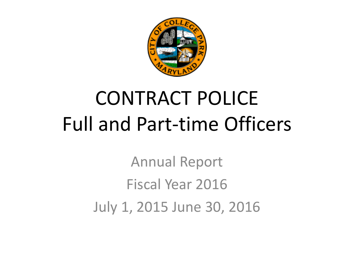

# CONTRACT POLICE Full and Part-time Officers

Annual Report Fiscal Year 2016 July 1, 2015 June 30, 2016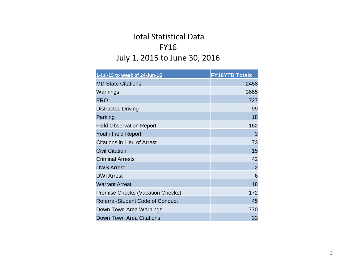## Total Statistical Data FY16 July 1, 2015 to June 30, 2016

| 1-Jul-15 to week of 24-Jun-16           | <b>FY16YTD Totals</b> |
|-----------------------------------------|-----------------------|
| <b>MD State Citations</b>               | 2458                  |
| Warnings                                | 3665                  |
| <b>ERO</b>                              | 727                   |
| <b>Distracted Driving</b>               | 99                    |
| Parking                                 | 18                    |
| <b>Field Observation Report</b>         | 162                   |
| <b>Youth Field Report</b>               | 3                     |
| <b>Citations in Lieu of Arrest</b>      | 73                    |
| <b>Civil Citation</b>                   | 15                    |
| <b>Criminal Arrests</b>                 | 42                    |
| <b>DWS Arrest</b>                       | $\overline{2}$        |
| <b>DWI Arrest</b>                       | 6                     |
| <b>Warrant Arrest</b>                   | 18                    |
| <b>Premise Checks (Vacation Checks)</b> | 172                   |
| <b>Referral-Student Code of Conduct</b> | 45                    |
| Down Town Area Warnings                 | 770                   |
| <b>Down Town Area Citations</b>         | 33                    |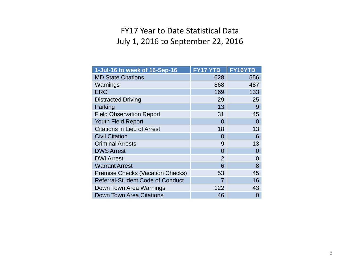#### FY17 Year to Date Statistical Data July 1, 2016 to September 22, 2016

| 1-Jul-16 to week of 16-Sep-16           | <b>FY17 YTD</b> | <b>FY16YTD</b> |
|-----------------------------------------|-----------------|----------------|
| <b>MD State Citations</b>               | 628             | 556            |
| Warnings                                | 868             | 487            |
| <b>ERO</b>                              | 169             | 133            |
| <b>Distracted Driving</b>               | 29              | 25             |
| Parking                                 | 13              | 9              |
| <b>Field Observation Report</b>         | 31              | 45             |
| <b>Youth Field Report</b>               | 0               | 0              |
| <b>Citations in Lieu of Arrest</b>      | 18              | 13             |
| <b>Civil Citation</b>                   | 0               | 6              |
| <b>Criminal Arrests</b>                 | 9               | 13             |
| <b>DWS Arrest</b>                       | 0               | 0              |
| <b>DWI Arrest</b>                       | $\overline{2}$  | 0              |
| <b>Warrant Arrest</b>                   | 6               | 8              |
| <b>Premise Checks (Vacation Checks)</b> | 53              | 45             |
| <b>Referral-Student Code of Conduct</b> | 7               | 16             |
| Down Town Area Warnings                 | 122             | 43             |
| Down Town Area Citations                | 46              | 0              |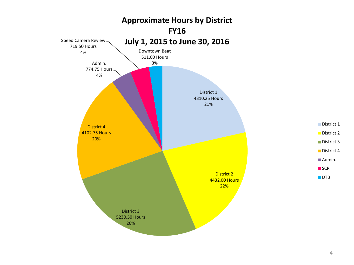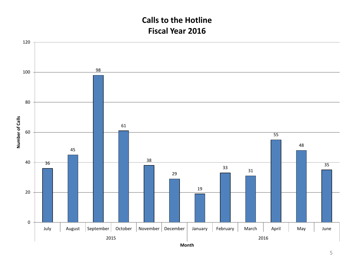### **Calls to the Hotline Fiscal Year 2016**

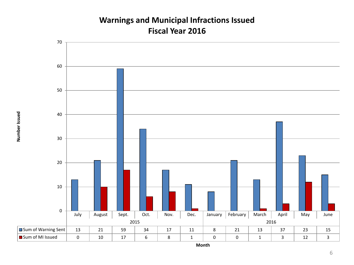#### **Warnings and Municipal Infractions Issued Fiscal Year 2016**



**Month**